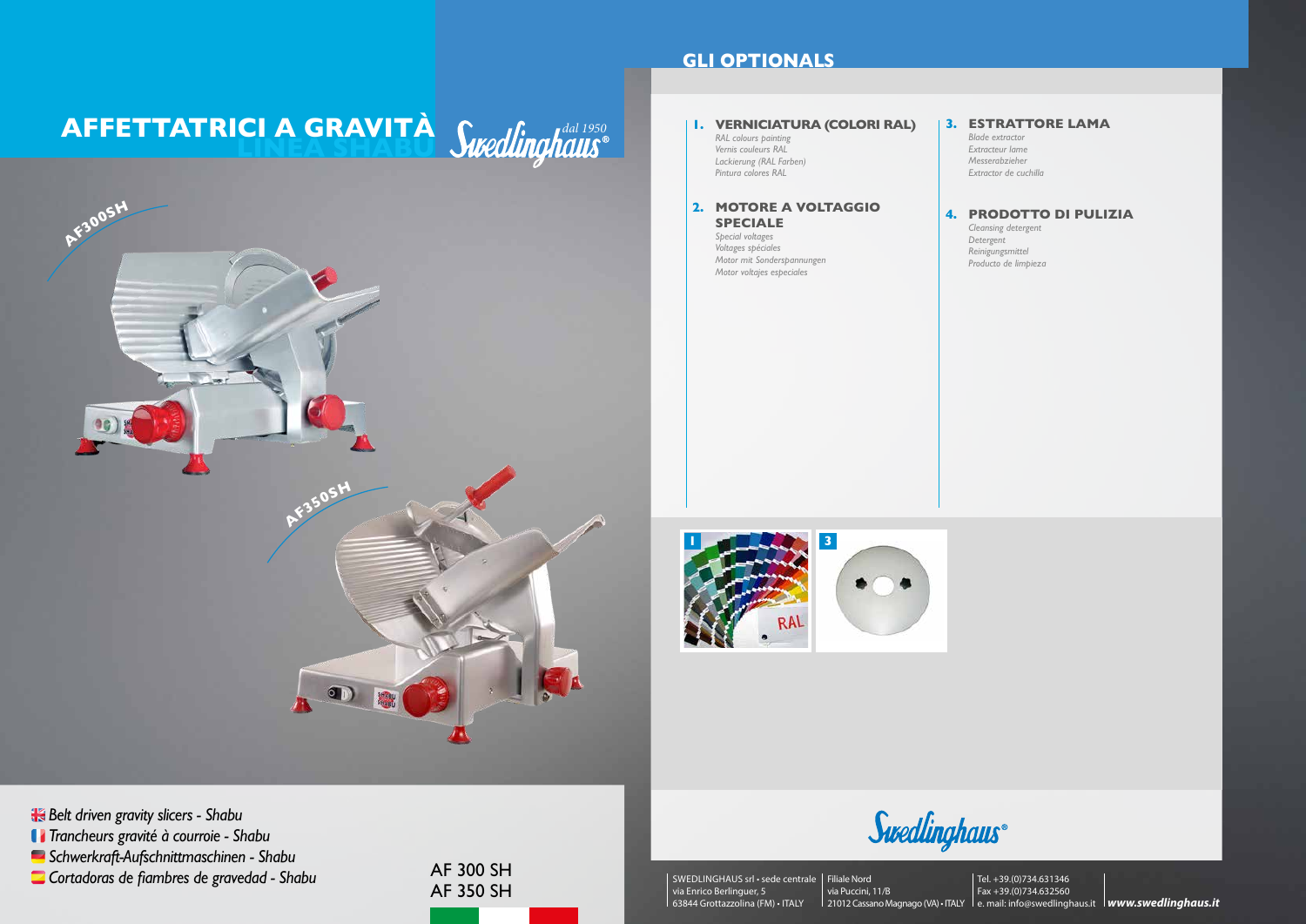AF 300 SH AF 350 SH

*Trancheurs gravité à courroie - Shabu*

# **AFFETTATRICI A GRAVITA** *dired finalist*



**Belt driven gravity slicers - Shabu** 

*Schwerkraft-Aufschnittmaschinen - Shabu*

*Cortadoras de fiambres de gravedad - Shabu*

## **GLI OPTIONALS**



Swedlinghaus®

#### **1. VERNICIATURA (COLORI RAL)**

*RAL colours painting Vernis couleurs RAL Lackierung (RAL Farben) Pintura colores RAL*

#### **2. MOTORE A VOLTAGGIO SPECIALE**

*Special voltages Voltages spéciales Motor mit Sonderspannungen Motor voltajes especiales*

#### **4. PRODOTTO DI PULIZIA**

*Detergent*

*Cleansing detergent Reinigungsmittel Producto de limpieza*



SWEDLINGHAUS srl • sede centrale Filiale Nord via Enrico Berlinguer, 5 63844 Grottazzolina (FM) • ITALY

via Puccini, 11/B 21012 Cassano Magnago (VA) • ITALY le. mail: info@swedlinghaus.it **lwww.swedlinghaus.it** Tel. +39.(0)734.631346 Fax +39.(0)734.632560

#### **3. ESTRATTORE LAMA**

*Blade extractor Extracteur lame Messerabzieher Extractor de cuchilla*